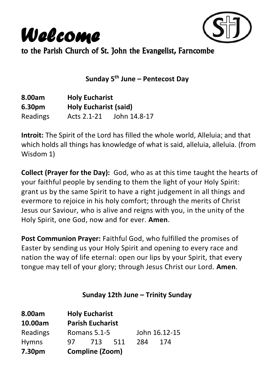



to the Parish Church of St. John the Evangelist, Farncombe

**Sunday 5 th June – Pentecost Day**

| 8.00am          | <b>Holy Eucharist</b>        |              |  |
|-----------------|------------------------------|--------------|--|
| 6.30pm          | <b>Holy Eucharist (said)</b> |              |  |
| <b>Readings</b> | Acts 2.1-21                  | John 14.8-17 |  |

**Introit:** The Spirit of the Lord has filled the whole world, Alleluia; and that which holds all things has knowledge of what is said, alleluia, alleluia, (from Wisdom 1)

**Collect (Prayer for the Day):** God, who as at this time taught the hearts of your faithful people by sending to them the light of your Holy Spirit: grant us by the same Spirit to have a right judgement in all things and evermore to rejoice in his holy comfort; through the merits of Christ Jesus our Saviour, who is alive and reigns with you, in the unity of the Holy Spirit, one God, now and for ever. **Amen**.

**Post Communion Prayer:** Faithful God, who fulfilled the promises of Easter by sending us your Holy Spirit and opening to every race and nation the way of life eternal: open our lips by your Spirit, that every tongue may tell of your glory; through Jesus Christ our Lord. **Amen**.

### **Sunday 12th June – Trinity Sunday**

| 8.00am       |                         | <b>Holy Eucharist</b> |     |     |               |
|--------------|-------------------------|-----------------------|-----|-----|---------------|
| 10.00am      | <b>Parish Eucharist</b> |                       |     |     |               |
| Readings     |                         | Romans 5.1-5          |     |     | John 16.12-15 |
| <b>Hymns</b> | 97.                     | 713                   | 511 | 284 | 174           |
| 7.30pm       |                         | Compline (Zoom)       |     |     |               |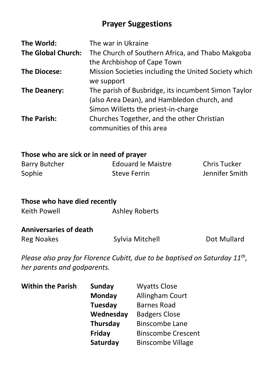## **Prayer Suggestions**

| The World:                | The war in Ukraine                                   |
|---------------------------|------------------------------------------------------|
| <b>The Global Church:</b> | The Church of Southern Africa, and Thabo Makgoba     |
|                           | the Archbishop of Cape Town                          |
| <b>The Diocese:</b>       | Mission Societies including the United Society which |
|                           | we support                                           |
| The Deanery:              | The parish of Busbridge, its incumbent Simon Taylor  |
|                           | (also Area Dean), and Hambledon church, and          |
|                           | Simon Willetts the priest-in-charge                  |
| The Parish:               | Churches Together, and the other Christian           |
|                           | communities of this area                             |

#### **Those who are sick or in need of prayer**

| Barry Butcher | Edouard le Maistre | Chris Tucker   |
|---------------|--------------------|----------------|
| Sophie        | Steve Ferrin       | Jennifer Smith |

| Those who have died recently |                       |  |
|------------------------------|-----------------------|--|
| Keith Powell                 | <b>Ashley Roberts</b> |  |
|                              |                       |  |

## **Anniversaries of death**

Reg Noakes Sylvia Mitchell Dot Mullard

*Please also pray for Florence Cubitt, due to be baptised on Saturday 11th , her parents and godparents.*

| <b>Within the Parish</b> | <b>Sunday</b>   | <b>Wyatts Close</b>       |  |
|--------------------------|-----------------|---------------------------|--|
|                          | Monday          | Allingham Court           |  |
|                          | Tuesday         | <b>Barnes Road</b>        |  |
|                          | Wednesday       | <b>Badgers Close</b>      |  |
|                          | <b>Thursday</b> | <b>Binscombe Lane</b>     |  |
|                          | Friday          | <b>Binscombe Crescent</b> |  |
|                          | Saturday        | <b>Binscombe Village</b>  |  |
|                          |                 |                           |  |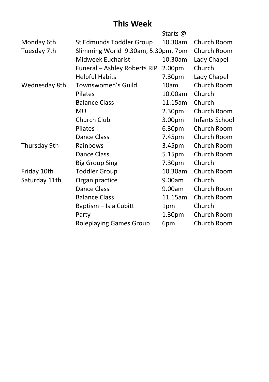## **This Week**

|               |                                    | Starts @           |                |
|---------------|------------------------------------|--------------------|----------------|
| Monday 6th    | St Edmunds Toddler Group           | 10.30am            | Church Room    |
| Tuesday 7th   | Slimming World 9.30am, 5.30pm, 7pm |                    |                |
|               | Midweek Eucharist                  | 10.30am            | Lady Chapel    |
|               | Funeral - Ashley Roberts RIP       | 2.00pm             | Church         |
|               | <b>Helpful Habits</b>              | 7.30pm             | Lady Chapel    |
| Wednesday 8th | Townswomen's Guild                 | 10am               | Church Room    |
|               | Pilates                            | 10.00am            | Church         |
|               | <b>Balance Class</b>               | 11.15am            | Church         |
|               | MU                                 | 2.30pm             | Church Room    |
|               | Church Club                        | 3.00 <sub>pm</sub> | Infants School |
|               | Pilates                            | 6.30 <sub>pm</sub> | Church Room    |
|               | Dance Class                        | 7.45pm             | Church Room    |
| Thursday 9th  | Rainbows                           | 3.45pm             | Church Room    |
|               | Dance Class                        | 5.15pm             | Church Room    |
|               | <b>Big Group Sing</b>              | 7.30pm             | Church         |
| Friday 10th   | <b>Toddler Group</b>               | 10.30am            | Church Room    |
| Saturday 11th | Organ practice                     | 9.00am             | Church         |
|               | Dance Class                        | 9.00am             | Church Room    |
|               | <b>Balance Class</b>               | 11.15am            | Church Room    |
|               | Baptism - Isla Cubitt              | 1pm                | Church         |
|               | Party                              | 1.30 <sub>pm</sub> | Church Room    |
|               | Roleplaying Games Group            | 6pm                | Church Room    |
|               |                                    |                    |                |